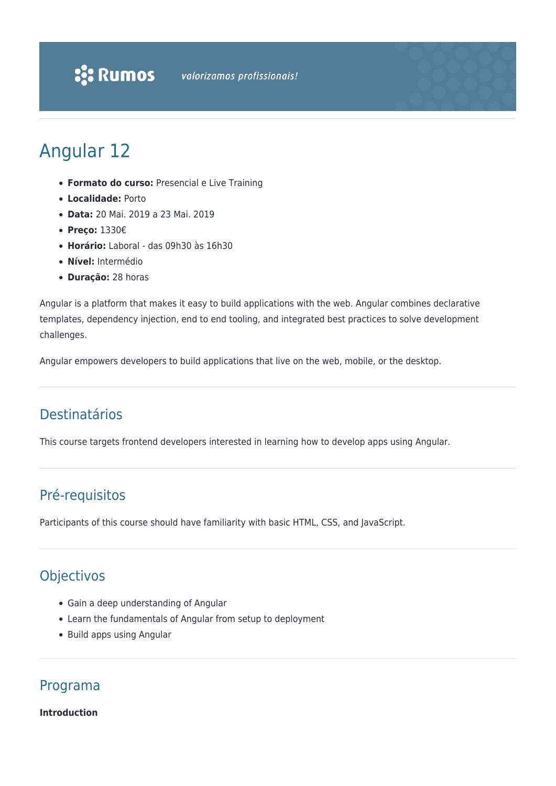

# Angular 12

- **Formato do curso:** Presencial e Live Training
- **Localidade:** Porto
- **Data:** 20 Mai. 2019 a 23 Mai. 2019
- **Preço:** 1330€
- **Horário:** Laboral das 09h30 às 16h30
- **Nível:** Intermédio
- **Duração:** 28 horas

Angular is a platform that makes it easy to build applications with the web. Angular combines declarative templates, dependency injection, end to end tooling, and integrated best practices to solve development challenges.

Angular empowers developers to build applications that live on the web, mobile, or the desktop.

# Destinatários

This course targets frontend developers interested in learning how to develop apps using Angular.

# Pré-requisitos

Participants of this course should have familiarity with basic HTML, CSS, and JavaScript.

# **Objectivos**

- Gain a deep understanding of Angular
- Learn the fundamentals of Angular from setup to deployment
- Build apps using Angular

# Programa

**Introduction**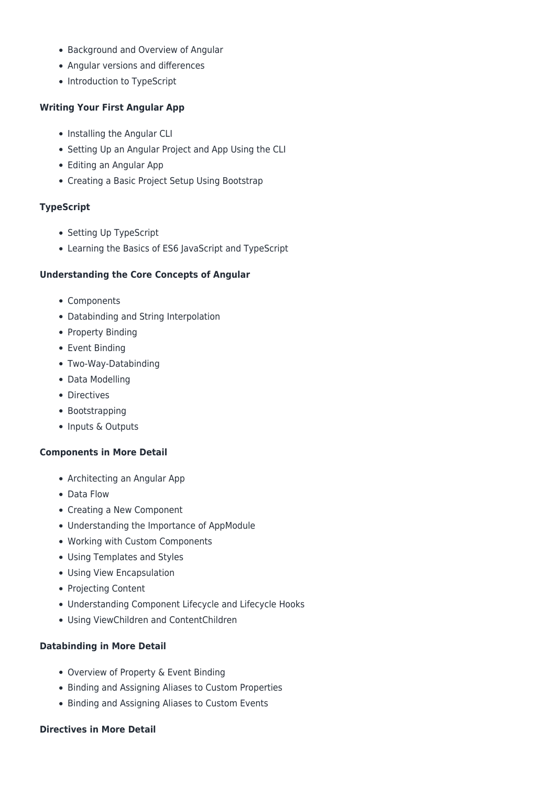- Background and Overview of Angular
- Angular versions and differences
- Introduction to TypeScript

#### **Writing Your First Angular App**

- Installing the Angular CLI
- Setting Up an Angular Project and App Using the CLI
- Editing an Angular App
- Creating a Basic Project Setup Using Bootstrap

#### **TypeScript**

- Setting Up TypeScript
- Learning the Basics of ES6 JavaScript and TypeScript

#### **Understanding the Core Concepts of Angular**

- Components
- Databinding and String Interpolation
- Property Binding
- Event Binding
- Two-Way-Databinding
- Data Modelling
- Directives
- Bootstrapping
- Inputs & Outputs

#### **Components in More Detail**

- Architecting an Angular App
- Data Flow
- Creating a New Component
- Understanding the Importance of AppModule
- Working with Custom Components
- Using Templates and Styles
- Using View Encapsulation
- Projecting Content
- Understanding Component Lifecycle and Lifecycle Hooks
- Using ViewChildren and ContentChildren

#### **Databinding in More Detail**

- Overview of Property & Event Binding
- Binding and Assigning Aliases to Custom Properties
- Binding and Assigning Aliases to Custom Events

#### **Directives in More Detail**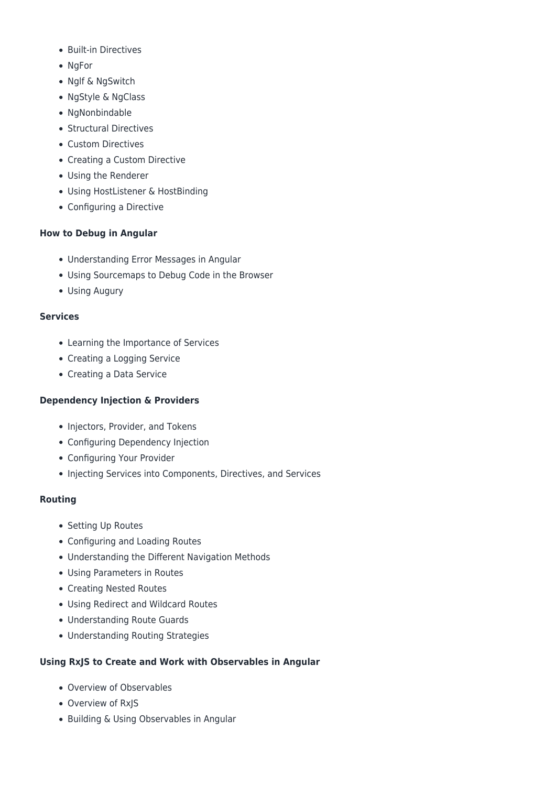- Built-in Directives
- NgFor
- Nglf & NgSwitch
- NgStyle & NgClass
- NgNonbindable
- Structural Directives
- Custom Directives
- Creating a Custom Directive
- Using the Renderer
- Using HostListener & HostBinding
- Configuring a Directive

## **How to Debug in Angular**

- Understanding Error Messages in Angular
- Using Sourcemaps to Debug Code in the Browser
- Using Augury

## **Services**

- Learning the Importance of Services
- Creating a Logging Service
- Creating a Data Service

# **Dependency Injection & Providers**

- Injectors, Provider, and Tokens
- Configuring Dependency Injection
- Configuring Your Provider
- Injecting Services into Components, Directives, and Services

## **Routing**

- Setting Up Routes
- Configuring and Loading Routes
- Understanding the Different Navigation Methods
- Using Parameters in Routes
- Creating Nested Routes
- Using Redirect and Wildcard Routes
- Understanding Route Guards
- Understanding Routing Strategies

# **Using RxJS to Create and Work with Observables in Angular**

- Overview of Observables
- Overview of RxJS
- Building & Using Observables in Angular